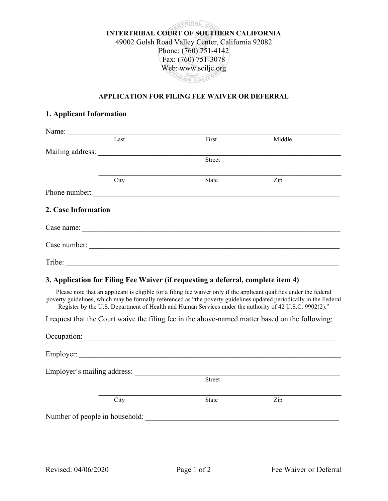

## APPLICATION FOR FILING FEE WAIVER OR DEFERRAL

## 1. Applicant Information

| Name:                          |      |                                                                                                                                                                                                                                                                                                                                                       |        |
|--------------------------------|------|-------------------------------------------------------------------------------------------------------------------------------------------------------------------------------------------------------------------------------------------------------------------------------------------------------------------------------------------------------|--------|
|                                | Last | First                                                                                                                                                                                                                                                                                                                                                 | Middle |
| Mailing address:               |      |                                                                                                                                                                                                                                                                                                                                                       |        |
|                                |      | <b>Street</b>                                                                                                                                                                                                                                                                                                                                         |        |
|                                | City | <b>State</b>                                                                                                                                                                                                                                                                                                                                          | Zip    |
|                                |      | Phone number:                                                                                                                                                                                                                                                                                                                                         |        |
| 2. Case Information            |      |                                                                                                                                                                                                                                                                                                                                                       |        |
|                                |      |                                                                                                                                                                                                                                                                                                                                                       |        |
|                                |      |                                                                                                                                                                                                                                                                                                                                                       |        |
|                                |      | Tribe:                                                                                                                                                                                                                                                                                                                                                |        |
|                                |      | 3. Application for Filing Fee Waiver (if requesting a deferral, complete item 4)                                                                                                                                                                                                                                                                      |        |
|                                |      | Please note that an applicant is eligible for a filing fee waiver only if the applicant qualifies under the federal<br>poverty guidelines, which may be formally referenced as "the poverty guidelines updated periodically in the Federal<br>Register by the U.S. Department of Health and Human Services under the authority of 42 U.S.C. 9902(2)." |        |
|                                |      | I request that the Court waive the filing fee in the above-named matter based on the following:                                                                                                                                                                                                                                                       |        |
|                                |      | Occupation: Decrease of the contract of the contract of the contract of the contract of the contract of the contract of the contract of the contract of the contract of the contract of the contract of the contract of the co                                                                                                                        |        |
|                                |      | Employer:                                                                                                                                                                                                                                                                                                                                             |        |
| Employer's mailing address:    |      |                                                                                                                                                                                                                                                                                                                                                       |        |
|                                |      | Street                                                                                                                                                                                                                                                                                                                                                |        |
|                                | City | <b>State</b>                                                                                                                                                                                                                                                                                                                                          | Zip    |
| Number of people in household: |      |                                                                                                                                                                                                                                                                                                                                                       |        |
|                                |      |                                                                                                                                                                                                                                                                                                                                                       |        |